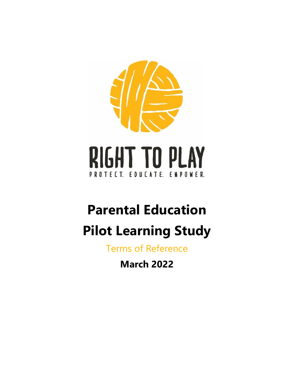

# **Parental Education Pilot Learning Study**

Terms of Reference

**March 2022**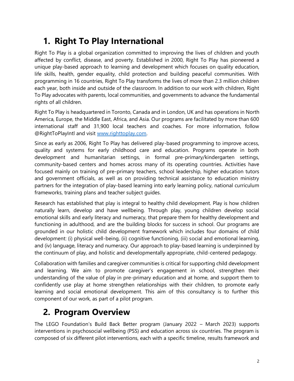# **1. Right To Play International**

Right To Play is a global organization committed to improving the lives of children and youth affected by conflict, disease, and poverty. Established in 2000, Right To Play has pioneered a unique play-based approach to learning and development which focuses on quality education, life skills, health, gender equality, child protection and building peaceful communities. With programming in 16 countries, Right To Play transforms the lives of more than 2.3 million children each year, both inside and outside of the classroom. In addition to our work with children, Right To Play advocates with parents, local communities, and governments to advance the fundamental rights of all children.

Right To Play is headquartered in Toronto, Canada and in London, UK and has operations in North America, Europe, the Middle East, Africa, and Asia. Our programs are facilitated by more than 600 international staff and 31,900 local teachers and coaches. For more information, follow @RightToPlayIntl and visit [www.righttoplay.com.](http://www.righttoplay.com/)

Since as early as 2006, Right To Play has delivered play-based programming to improve access, quality and systems for early childhood care and education. Programs operate in both development and humanitarian settings, in formal pre-primary/kindergarten settings, community-based centers and homes across many of its operating countries. Activities have focused mainly on training of pre-primary teachers, school leadership, higher education tutors and government officials, as well as on providing technical assistance to education ministry partners for the integration of play-based learning into early learning policy, national curriculum frameworks, training plans and teacher subject guides.

Research has established that play is integral to healthy child development. Play is how children naturally learn, develop and have wellbeing. Through play, young children develop social emotional skills and early literacy and numeracy, that prepare them for healthy development and functioning in adulthood, and are the building blocks for success in school. Our programs are grounded in our holistic child development framework which includes four domains of child development: (i) physical well-being, (ii) cognitive functioning, (iii) social and emotional learning, and (iv) language, literacy and numeracy. Our approach to play-based learning is underpinned by the continuum of play, and holistic and developmentally appropriate, child-centered pedagogy.

Collaboration with families and caregiver communities is critical for supporting child development and learning. We aim to promote caregiver's engagement in school, strengthen their understanding of the value of play in pre-primary education and at home, and support them to confidently use play at home strengthen relationships with their children, to promote early learning and social emotional development. This aim of this consultancy is to further this component of our work, as part of a pilot program.

### **2. Program Overview**

The LEGO Foundation's Build Back Better program (January 2022 – March 2023) supports interventions in psychosocial wellbeing (PSS) and education across six countries. The program is composed of six different pilot interventions, each with a specific timeline, results framework and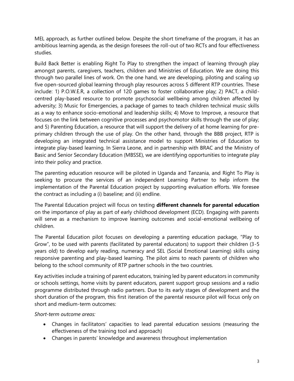MEL approach, as further outlined below. Despite the short timeframe of the program, it has an ambitious learning agenda, as the design foresees the roll-out of two RCTs and four effectiveness studies.

Build Back Better is enabling Right To Play to strengthen the impact of learning through play amongst parents, caregivers, teachers, children and Ministries of Education. We are doing this through two parallel lines of work. On the one hand, we are developing, piloting and scaling up five open-sourced global learning through play resources across 5 different RTP countries. These include: 1) P.O.W.E.R, a collection of 120 games to foster collaborative play; 2) PACT, a childcentred play-based resource to promote psychosocial wellbeing among children affected by adversity; 3) Music for Emergencies, a package of games to teach children technical music skills as a way to enhance socio-emotional and leadership skills; 4) Move to Improve, a resource that focuses on the link between cognitive processes and psychomotor skills through the use of play; and 5) Parenting Education, a resource that will support the delivery of at home learning for preprimary children through the use of play. On the other hand, through the BBB project, RTP is developing an integrated technical assistance model to support Ministries of Education to integrate play-based learning. In Sierra Leone, and in partnership with BRAC and the Ministry of Basic and Senior Secondary Education (MBSSE), we are identifying opportunities to integrate play into their policy and practice.

The parenting education resource will be piloted in Uganda and Tanzania, and Right To Play is seeking to procure the services of an independent Learning Partner to help inform the implementation of the Parental Education project by supporting evaluation efforts. We foresee the contract as including a (i) baseline; and (ii) endline.

The Parental Education project will focus on testing **different channels for parental education**  on the importance of play as part of early childhood development (ECD). Engaging with parents will serve as a mechanism to improve learning outcomes and social-emotional wellbeing of children.

The Parental Education pilot focuses on developing a parenting education package, "Play to Grow", to be used with parents (facilitated by parental educators) to support their children (3-5 years old) to develop early reading, numeracy and SEL (Social Emotional Learning) skills using responsive parenting and play-based learning. The pilot aims to reach parents of children who belong to the school community of RTP partner schools in the two countries.

Key activities include a training of parent educators, training led by parent educators in community or schools settings, home visits by parent educators, parent support group sessions and a radio programme distributed through radio partners. Due to its early stages of development and the short duration of the program, this first iteration of the parental resource pilot will focus only on short and medium-term outcomes:

#### *Short-term outcome areas:*

- Changes in facilitators' capacities to lead parental education sessions (measuring the effectiveness of the training tool and approach)
- Changes in parents' knowledge and awareness throughout implementation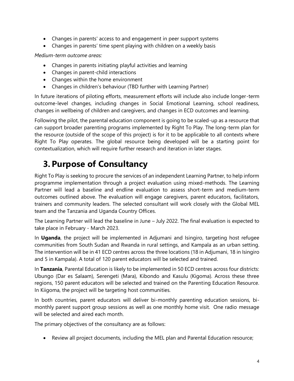- Changes in parents' access to and engagement in peer support systems
- Changes in parents' time spent playing with children on a weekly basis

*Medium-term outcome areas:* 

- Changes in parents initiating playful activities and learning
- Changes in parent-child interactions
- Changes within the home environment
- Changes in children's behaviour (TBD further with Learning Partner)

In future iterations of piloting efforts, measurement efforts will include also include longer-term outcome-level changes, including changes in Social Emotional Learning, school readiness, changes in wellbeing of children and caregivers, and changes in ECD outcomes and learning.

Following the pilot, the parental education component is going to be scaled-up as a resource that can support broader parenting programs implemented by Right To Play. The long-term plan for the resource (outside of the scope of this project) is for it to be applicable to all contexts where Right To Play operates. The global resource being developed will be a starting point for contextualization, which will require further research and iteration in later stages.

### **3. Purpose of Consultancy**

Right To Play is seeking to procure the services of an independent Learning Partner, to help inform programme implementation through a project evaluation using mixed-methods. The Learning Partner will lead a baseline and endline evaluation to assess short-term and medium-term outcomes outlined above. The evaluation will engage caregivers, parent educators, facilitators, trainers and community leaders. The selected consultant will work closely with the Global MEL team and the Tanzania and Uganda Country Offices.

The Learning Partner will lead the baseline in June – July 2022. The final evaluation is expected to take place in February - March 2023.

In **Uganda**, the project will be implemented in Adjumani and Isingiro, targeting host refugee communities from South Sudan and Rwanda in rural settings, and Kampala as an urban setting. The intervention will be in 41 ECD centres across the three locations (18 in Adjumani, 18 in Isingiro and 5 in Kampala). A total of 120 parent educators will be selected and trained.

In **Tanzania**, Parental Education is likely to be implemented in 50 ECD centres across four districts: Ubungo (Dar es Salaam), Serengeti (Mara), Kibondo and Kasulu (Kigoma). Across these three regions, 150 parent educators will be selected and trained on the Parenting Education Resource. In Kiigoma, the project will be targeting host communities.

In both countries, parent educators will deliver bi-monthly parenting education sessions, bimonthly parent support group sessions as well as one monthly home visit. One radio message will be selected and aired each month.

The primary objectives of the consultancy are as follows:

• Review all project documents, including the MEL plan and Parental Education resource;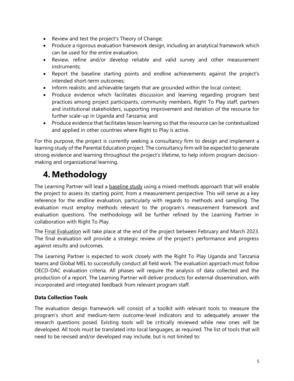- Review and test the project's Theory of Change;
- Produce a rigorous evaluation framework design, including an analytical framework which can be used for the entire evaluation;
- Review, refine and/or develop reliable and valid survey and other measurement instruments;
- Report the baseline starting points and endline achievements against the project's intended short-term outcomes;
- Inform realistic and achievable targets that are grounded within the local context;
- Produce evidence which facilitates discussion and learning regarding program best practices among project participants, community members, Right To Play staff, partners and institutional stakeholders, supporting improvement and iteration of the resource for further scale-up in Uganda and Tanzania; and
- Produce evidence that facilitates lesson learning so that the resource can be contextualized and applied in other countries where Right to Play is active.

For this purpose, the project is currently seeking a consultancy firm to design and implement a learning study of the Parental Education project. The consultancy firm will be expected to generate strong evidence and learning throughout the project's lifetime, to help inform program decisionmaking and organizational learning.

# **4. Methodology**

The Learning Partner will lead a baseline study using a mixed-methods approach that will enable the project to assess its starting point, from a measurement perspective. This will serve as a key reference for the endline evaluation, particularly with regards to methods and sampling. The evaluation must employ methods relevant to the program's measurement framework and evaluation questions. The methodology will be further refined by the Learning Partner in collaboration with Right To Play.

The Final Evaluation will take place at the end of the project between February and March 2023. The final evaluation will provide a strategic review of the project's performance and progress against results and outcomes.

The Learning Partner is expected to work closely with the Right To Play Uganda and Tanzania teams and Global MEL to successfully conduct all field work. The evaluation approach must follow OECD-DAC evaluation criteria. All phases will require the analysis of data collected and the production of a report. The Learning Partner will deliver products for external dissemination, with incorporated and integrated feedback from relevant program staff.

### **Data Collection Tools**

The evaluation design framework will consist of a toolkit with relevant tools to measure the program's short and medium-term outcome-level indicators and to adequately answer the research questions posed. Existing tools will be critically reviewed while new ones will be developed. All tools must be translated into local languages, as required. The list of tools that will need to be revised and/or developed may include, but is not limited to: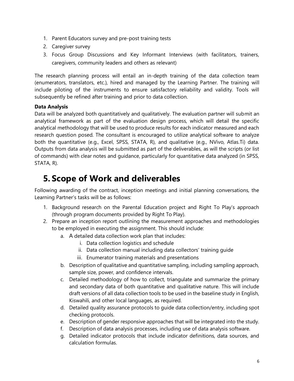- 1. Parent Educators survey and pre-post training tests
- 2. Caregiver survey
- 3. Focus Group Discussions and Key Informant Interviews (with facilitators, trainers, caregivers, community leaders and others as relevant)

The research planning process will entail an in-depth training of the data collection team (enumerators, translators, etc.), hired and managed by the Learning Partner. The training will include piloting of the instruments to ensure satisfactory reliability and validity. Tools will subsequently be refined after training and prior to data collection.

#### **Data Analysis**

Data will be analyzed both quantitatively and qualitatively. The evaluation partner will submit an analytical framework as part of the evaluation design process, which will detail the specific analytical methodology that will be used to produce results for each indicator measured and each research question posed. The consultant is encouraged to utilize analytical software to analyze both the quantitative (e.g., Excel, SPSS, STATA, R), and qualitative (e.g., NVivo, Atlas.Ti) data. Outputs from data analysis will be submitted as part of the deliverables, as will the scripts (or list of commands) with clear notes and guidance, particularly for quantitative data analyzed (in SPSS, STATA, R).

### **5. Scope of Work and deliverables**

Following awarding of the contract, inception meetings and initial planning conversations, the Learning Partner's tasks will be as follows:

- 1. Background research on the Parental Education project and Right To Play's approach (through program documents provided by Right To Play).
- 2. Prepare an inception report outlining the measurement approaches and methodologies to be employed in executing the assignment. This should include:
	- a. A detailed data collection work plan that includes:
		- i. Data collection logistics and schedule
		- ii. Data collection manual including data collectors' training guide
		- iii. Enumerator training materials and presentations
	- b. Description of qualitative and quantitative sampling, including sampling approach, sample size, power, and confidence intervals.
	- c. Detailed methodology of how to collect, triangulate and summarize the primary and secondary data of both quantitative and qualitative nature. This will include draft versions of all data collection tools to be used in the baseline study in English, Kiswahili, and other local languages, as required.
	- d. Detailed quality assurance protocols to guide data collection/entry, including spot checking protocols.
	- e. Description of gender responsive approaches that will be integrated into the study.
	- f. Description of data analysis processes, including use of data analysis software.
	- g. Detailed indicator protocols that include indicator definitions, data sources, and calculation formulas.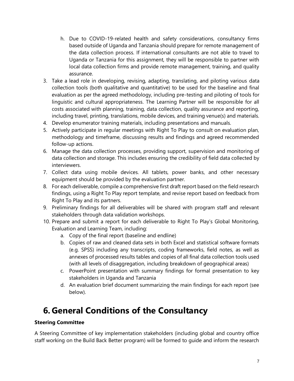- h. Due to COVID-19-related health and safety considerations, consultancy firms based outside of Uganda and Tanzania should prepare for remote management of the data collection process. If international consultants are not able to travel to Uganda or Tanzania for this assignment, they will be responsible to partner with local data collection firms and provide remote management, training, and quality assurance.
- 3. Take a lead role in developing, revising, adapting, translating, and piloting various data collection tools (both qualitative and quantitative) to be used for the baseline and final evaluation as per the agreed methodology, including pre-testing and piloting of tools for linguistic and cultural appropriateness. The Learning Partner will be responsible for all costs associated with planning, training, data collection, quality assurance and reporting, including travel, printing, translations, mobile devices, and training venue(s) and materials.
- 4. Develop enumerator training materials, including presentations and manuals.
- 5. Actively participate in regular meetings with Right To Play to consult on evaluation plan, methodology and timeframe, discussing results and findings and agreed recommended follow-up actions.
- 6. Manage the data collection processes, providing support, supervision and monitoring of data collection and storage. This includes ensuring the credibility of field data collected by interviewers.
- 7. Collect data using mobile devices. All tablets, power banks, and other necessary equipment should be provided by the evaluation partner.
- 8. For each deliverable, compile a comprehensive first draft report based on the field research findings, using a Right To Play report template, and revise report based on feedback from Right To Play and its partners.
- 9. Preliminary findings for all deliverables will be shared with program staff and relevant stakeholders through data validation workshops.
- 10. Prepare and submit a report for each deliverable to Right To Play's Global Monitoring, Evaluation and Learning Team, including:
	- a. Copy of the final report (baseline and endline)
	- b. Copies of raw and cleaned data sets in both Excel and statistical software formats (e.g. SPSS) including any transcripts, coding frameworks, field notes, as well as annexes of processed results tables and copies of all final data collection tools used (with all levels of disaggregation, including breakdown of geographical areas)
	- c. PowerPoint presentation with summary findings for formal presentation to key stakeholders in Uganda and Tanzania
	- d. An evaluation brief document summarizing the main findings for each report (see below).

### **6. General Conditions of the Consultancy**

#### **Steering Committee**

A Steering Committee of key implementation stakeholders (including global and country office staff working on the Build Back Better program) will be formed to guide and inform the research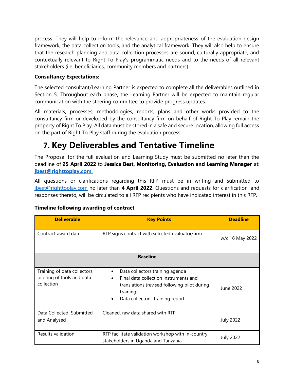process. They will help to inform the relevance and appropriateness of the evaluation design framework, the data collection tools, and the analytical framework. They will also help to ensure that the research planning and data collection processes are sound, culturally appropriate, and contextually relevant to Right To Play's programmatic needs and to the needs of all relevant stakeholders (i.e. beneficiaries, community members and partners).

### **Consultancy Expectations:**

The selected consultant/Learning Partner is expected to complete all the deliverables outlined in Section 5. Throughout each phase, the Learning Partner will be expected to maintain regular communication with the steering committee to provide progress updates.

All materials, processes, methodologies, reports, plans and other works provided to the consultancy firm or developed by the consultancy firm on behalf of Right To Play remain the property of Right To Play. All data must be stored in a safe and secure location, allowing full access on the part of Right To Play staff during the evaluation process.

### **7. Key Deliverables and Tentative Timeline**

The Proposal for the full evaluation and Learning Study must be submitted no later than the deadline of **25 April 2022** to **Jessica Best, Monitoring, Evaluation and Learning Manager** at: **[jbest@righttoplay.com](mailto:jbest@righttoplay.com)**.

All questions or clarifications regarding this RFP must be in writing and submitted to [jbest@righttoplay.com](mailto:jbest@righttoplay.com) no later than **4 April 2022**. Questions and requests for clarification, and responses thereto, will be circulated to all RFP recipients who have indicated interest in this RFP.

| <b>Deliverable</b>                                                       | <b>Key Points</b>                                                                                                                                                                           | <b>Deadline</b>  |  |  |
|--------------------------------------------------------------------------|---------------------------------------------------------------------------------------------------------------------------------------------------------------------------------------------|------------------|--|--|
| Contract award date                                                      | RTP signs contract with selected evaluator/firm                                                                                                                                             | w/c 16 May 2022  |  |  |
| <b>Baseline</b>                                                          |                                                                                                                                                                                             |                  |  |  |
| Training of data collectors,<br>piloting of tools and data<br>collection | Data collectors training agenda<br>٠<br>Final data collection instruments and<br>$\bullet$<br>translations (revised following pilot during<br>training)<br>Data collectors' training report | June 2022        |  |  |
| Data Collected, Submitted<br>and Analysed                                | Cleaned, raw data shared with RTP                                                                                                                                                           | <b>July 2022</b> |  |  |
| Results validation                                                       | RTP facilitate validation workshop with in-country<br>stakeholders in Uganda and Tanzania                                                                                                   | <b>July 2022</b> |  |  |

### **Timeline following awarding of contract**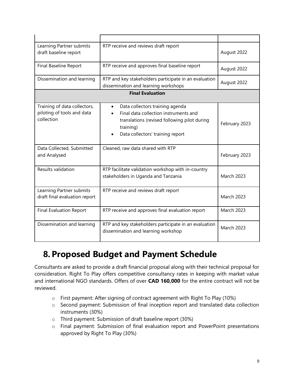| Learning Partner submits<br>draft baseline report                        | RTP receive and reviews draft report                                                                                                                                      | August 2022       |  |  |
|--------------------------------------------------------------------------|---------------------------------------------------------------------------------------------------------------------------------------------------------------------------|-------------------|--|--|
| <b>Final Baseline Report</b>                                             | RTP receive and approves final baseline report                                                                                                                            | August 2022       |  |  |
| Dissemination and learning                                               | RTP and key stakeholders participate in an evaluation<br>dissemination and learning workshops                                                                             | August 2022       |  |  |
| <b>Final Evaluation</b>                                                  |                                                                                                                                                                           |                   |  |  |
| Training of data collectors,<br>piloting of tools and data<br>collection | Data collectors training agenda<br>Final data collection instruments and<br>translations (revised following pilot during<br>training)<br>Data collectors' training report | February 2023     |  |  |
| Data Collected, Submitted<br>and Analysed                                | Cleaned, raw data shared with RTP                                                                                                                                         | February 2023     |  |  |
| Results validation                                                       | RTP facilitate validation workshop with in-country<br>stakeholders in Uganda and Tanzania                                                                                 | <b>March 2023</b> |  |  |
| Learning Partner submits<br>draft final evaluation report                | RTP receive and reviews draft report                                                                                                                                      | <b>March 2023</b> |  |  |
| <b>Final Evaluation Report</b>                                           | RTP receive and approves final evaluation report                                                                                                                          | <b>March 2023</b> |  |  |
| Dissemination and learning                                               | RTP and key stakeholders participate in an evaluation<br>dissemination and learning workshop                                                                              | <b>March 2023</b> |  |  |

# **8. Proposed Budget and Payment Schedule**

Consultants are asked to provide a draft financial proposal along with their technical proposal for consideration. Right To Play offers competitive consultancy rates in keeping with market value and international NGO standards. Offers of over **CAD 160,000** for the entire contract will not be reviewed.

- o First payment: After signing of contract agreement with Right To Play (10%)
- o Second payment: Submission of final inception report and translated data collection instruments (30%)
- o Third payment: Submission of draft baseline report (30%)
- o Final payment: Submission of final evaluation report and PowerPoint presentations approved by Right To Play (30%)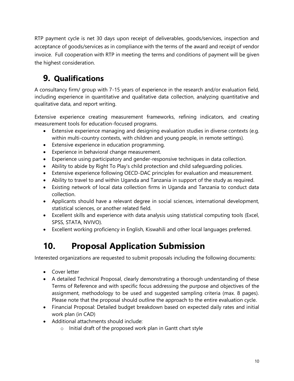RTP payment cycle is net 30 days upon receipt of deliverables, goods/services, inspection and acceptance of goods/services as in compliance with the terms of the award and receipt of vendor invoice. Full cooperation with RTP in meeting the terms and conditions of payment will be given the highest consideration.

# **9. Qualifications**

A consultancy firm/ group with 7-15 years of experience in the research and/or evaluation field, including experience in quantitative and qualitative data collection, analyzing quantitative and qualitative data, and report writing.

Extensive experience creating measurement frameworks, refining indicators, and creating measurement tools for education-focused programs.

- Extensive experience managing and designing evaluation studies in diverse contexts (e.g. within multi-country contexts, with children and young people, in remote settings).
- Extensive experience in education programming.
- Experience in behavioral change measurement.
- Experience using participatory and gender-responsive techniques in data collection.
- Ability to abide by Right To Play's child protection and child safeguarding policies.
- Extensive experience following OECD-DAC principles for evaluation and measurement.
- Ability to travel to and within Uganda and Tanzania in support of the study as required.
- Existing network of local data collection firms in Uganda and Tanzania to conduct data collection.
- Applicants should have a relevant degree in social sciences, international development, statistical sciences, or another related field.
- Excellent skills and experience with data analysis using statistical computing tools (Excel, SPSS, STATA, NVIVO).
- Excellent working proficiency in English, Kiswahili and other local languages preferred.

# **10. Proposal Application Submission**

Interested organizations are requested to submit proposals including the following documents:

- Cover letter
- A detailed Technical Proposal, clearly demonstrating a thorough understanding of these Terms of Reference and with specific focus addressing the purpose and objectives of the assignment, methodology to be used and suggested sampling criteria (max. 8 pages). Please note that the proposal should outline the approach to the entire evaluation cycle.
- Financial Proposal: Detailed budget breakdown based on expected daily rates and initial work plan (in CAD)
- Additional attachments should include:
	- o Initial draft of the proposed work plan in Gantt chart style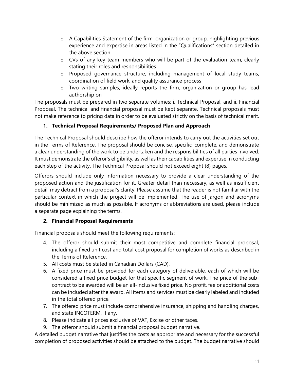- o A Capabilities Statement of the firm, organization or group, highlighting previous experience and expertise in areas listed in the "Qualifications" section detailed in the above section
- o CVs of any key team members who will be part of the evaluation team, clearly stating their roles and responsibilities
- o Proposed governance structure, including management of local study teams, coordination of field work, and quality assurance process
- o Two writing samples, ideally reports the firm, organization or group has lead authorship on

The proposals must be prepared in two separate volumes: i. Technical Proposal; and ii. Financial Proposal. The technical and financial proposal must be kept separate. Technical proposals must not make reference to pricing data in order to be evaluated strictly on the basis of technical merit.

### **1. Technical Proposal Requirements/ Proposed Plan and Approach**

The Technical Proposal should describe how the offeror intends to carry out the activities set out in the Terms of Reference. The proposal should be concise, specific, complete, and demonstrate a clear understanding of the work to be undertaken and the responsibilities of all parties involved. It must demonstrate the offeror's eligibility, as well as their capabilities and expertise in conducting each step of the activity. The Technical Proposal should not exceed eight (8) pages.

Offerors should include only information necessary to provide a clear understanding of the proposed action and the justification for it. Greater detail than necessary, as well as insufficient detail, may detract from a proposal's clarity. Please assume that the reader is not familiar with the particular context in which the project will be implemented. The use of jargon and acronyms should be minimized as much as possible. If acronyms or abbreviations are used, please include a separate page explaining the terms.

### **2. Financial Proposal Requirements**

Financial proposals should meet the following requirements:

- 4. The offeror should submit their most competitive and complete financial proposal, including a fixed unit cost and total cost proposal for completion of works as described in the Terms of Reference.
- 5. All costs must be stated in Canadian Dollars (CAD).
- 6. A fixed price must be provided for each category of deliverable, each of which will be considered a fixed price budget for that specific segment of work. The price of the subcontract to be awarded will be an all-inclusive fixed price. No profit, fee or additional costs can be included after the award. All items and services must be clearly labeled and included in the total offered price.
- 7. The offered price must include comprehensive insurance, shipping and handling charges, and state INCOTERM, if any.
- 8. Please indicate all prices exclusive of VAT, Excise or other taxes.
- 9. The offeror should submit a financial proposal budget narrative.

A detailed budget narrative that justifies the costs as appropriate and necessary for the successful completion of proposed activities should be attached to the budget. The budget narrative should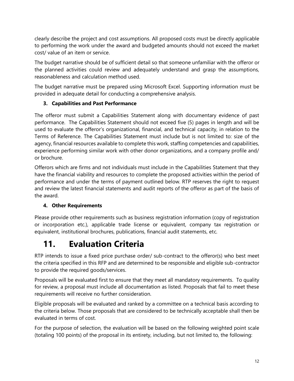clearly describe the project and cost assumptions. All proposed costs must be directly applicable to performing the work under the award and budgeted amounts should not exceed the market cost/ value of an item or service.

The budget narrative should be of sufficient detail so that someone unfamiliar with the offeror or the planned activities could review and adequately understand and grasp the assumptions, reasonableness and calculation method used.

The budget narrative must be prepared using Microsoft Excel. Supporting information must be provided in adequate detail for conducting a comprehensive analysis.

### **3. Capabilities and Past Performance**

The offeror must submit a Capabilities Statement along with documentary evidence of past performance. The Capabilities Statement should not exceed five (5) pages in length and will be used to evaluate the offeror's organizational, financial, and technical capacity, in relation to the Terms of Reference. The Capabilities Statement must include but is not limited to: size of the agency, financial resources available to complete this work, staffing competencies and capabilities, experience performing similar work with other donor organizations, and a company profile and/ or brochure.

Offerors which are firms and not individuals must include in the Capabilities Statement that they have the financial viability and resources to complete the proposed activities within the period of performance and under the terms of payment outlined below. RTP reserves the right to request and review the latest financial statements and audit reports of the offeror as part of the basis of the award.

### **4. Other Requirements**

Please provide other requirements such as business registration information (copy of registration or incorporation etc.), applicable trade license or equivalent, company tax registration or equivalent, institutional brochures, publications, financial audit statements, etc.

# **11. Evaluation Criteria**

RTP intends to issue a fixed price purchase order/ sub-contract to the offeror(s) who best meet the criteria specified in this RFP and are determined to be responsible and eligible sub-contractor to provide the required goods/services.

Proposals will be evaluated first to ensure that they meet all mandatory requirements. To quality for review, a proposal must include all documentation as listed. Proposals that fail to meet these requirements will receive no further consideration.

Eligible proposals will be evaluated and ranked by a committee on a technical basis according to the criteria below. Those proposals that are considered to be technically acceptable shall then be evaluated in terms of cost.

For the purpose of selection, the evaluation will be based on the following weighted point scale (totaling 100 points) of the proposal in its entirety, including, but not limited to, the following: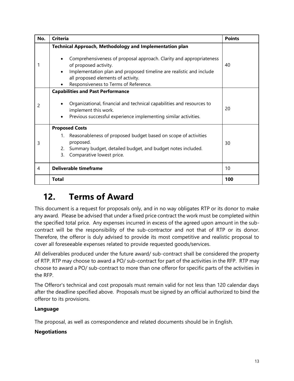| No.            | <b>Criteria</b>                                                                                                                                                                                                                                                                                               | <b>Points</b> |
|----------------|---------------------------------------------------------------------------------------------------------------------------------------------------------------------------------------------------------------------------------------------------------------------------------------------------------------|---------------|
|                | Technical Approach, Methodology and Implementation plan<br>Comprehensiveness of proposal approach. Clarity and appropriateness<br>of proposed activity.<br>Implementation plan and proposed timeline are realistic and include<br>all proposed elements of activity.<br>Responsiveness to Terms of Reference. | 40            |
| 2              | <b>Capabilities and Past Performance</b><br>Organizational, financial and technical capabilities and resources to<br>implement this work.<br>Previous successful experience implementing similar activities.                                                                                                  | 20            |
| 3              | <b>Proposed Costs</b><br>1. Reasonableness of proposed budget based on scope of activities<br>proposed.<br>Summary budget, detailed budget, and budget notes included.<br>2.<br>Comparative lowest price.<br>3.                                                                                               | 30            |
| $\overline{4}$ | <b>Deliverable timeframe</b>                                                                                                                                                                                                                                                                                  | 10            |
|                | Total                                                                                                                                                                                                                                                                                                         | 100           |

### **12. Terms of Award**

This document is a request for proposals only, and in no way obligates RTP or its donor to make any award. Please be advised that under a fixed price contract the work must be completed within the specified total price. Any expenses incurred in excess of the agreed upon amount in the subcontract will be the responsibility of the sub-contractor and not that of RTP or its donor. Therefore, the offeror is duly advised to provide its most competitive and realistic proposal to cover all foreseeable expenses related to provide requested goods/services.

All deliverables produced under the future award/ sub-contract shall be considered the property of RTP. RTP may choose to award a PO/ sub-contract for part of the activities in the RFP. RTP may choose to award a PO/ sub-contract to more than one offeror for specific parts of the activities in the RFP.

The Offeror's technical and cost proposals must remain valid for not less than 120 calendar days after the deadline specified above. Proposals must be signed by an official authorized to bind the offeror to its provisions.

### **Language**

The proposal, as well as correspondence and related documents should be in English.

### **Negotiations**